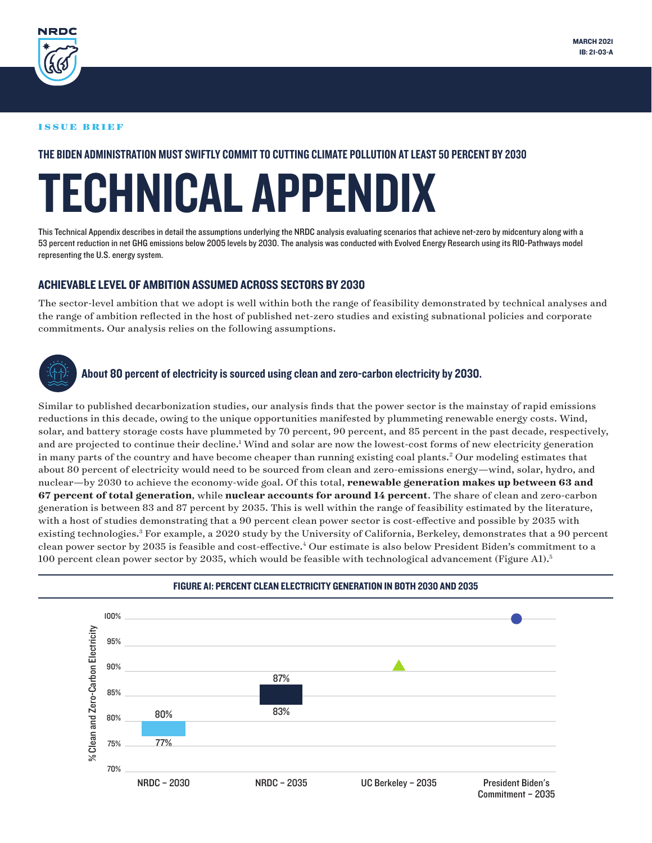<span id="page-0-0"></span>

#### ISSUE BRIEF

### THE BIDEN ADMINISTRATION MUST SWIFTLY COMMIT TO CUTTING CLIMATE POLLUTION AT LEAST 50 PERCENT BY 2030

# TECHNICAL APPENDIX

This Technical Appendix describes in detail the assumptions underlying the NRDC analysis evaluating scenarios that achieve net-zero by midcentury along with a 53 percent reduction in net GHG emissions below 2005 levels by 2030. The analysis was conducted with Evolved Energy Research using its RIO-Pathways model representing the U.S. energy system.

### ACHIEVABLE LEVEL OF AMBITION ASSUMED ACROSS SECTORS BY 2030

The sector-level ambition that we adopt is well within both the range of feasibility demonstrated by technical analyses and the range of ambition reflected in the host of published net-zero studies and existing subnational policies and corporate commitments. Our analysis relies on the following assumptions.



### About 80 percent of electricity is sourced using clean and zero-carbon electricity by 2030.

Similar to published decarbonization studies, our analysis finds that the power sector is the mainstay of rapid emissions reductions in this decade, owing to the unique opportunities manifested by plummeting renewable energy costs. Wind, solar, and battery storage costs have plummeted by 70 percent, 90 percent, and 85 percent in the past decade, respectively, and are projected to continue their decline.<sup>1</sup> Wind and solar are now the lowest-cost forms of new electricity generation in many parts of the country and have become cheaper than running existing coal plants.<sup>[2](#page-6-0)</sup> Our modeling estimates that about 80 percent of electricity would need to be sourced from clean and zero-emissions energy—wind, solar, hydro, and nuclear—by 2030 to achieve the economy-wide goal. Of this total, **renewable generation makes up between 63 and 67 percent of total generation**, while **nuclear accounts for around 14 percent**. The share of clean and zero-carbon generation is between 83 and 87 percent by 2035. This is well within the range of feasibility estimated by the literature, with a host of studies demonstrating that a 90 percent clean power sector is cost-effective and possible by 2035 with existing technologies.<sup>[3](#page-6-0)</sup> For example, a 2020 study by the University of California, Berkeley, demonstrates that a 90 percent clean power sector by 2035 is feasible and cost-effective.<sup>4</sup> Our estimate is also below President Biden's commitment to a 100 percent clean power sector by 2035, which would be feasible with technological advancement (Figure A1).[5](#page-6-0)



### FIGURE A1: PERCENT CLEAN ELECTRICITY GENERATION IN BOTH 2030 AND 2035 PERCENT CLEAN ELECTRICITY GENERATION IN BOTH 2030 AND 2035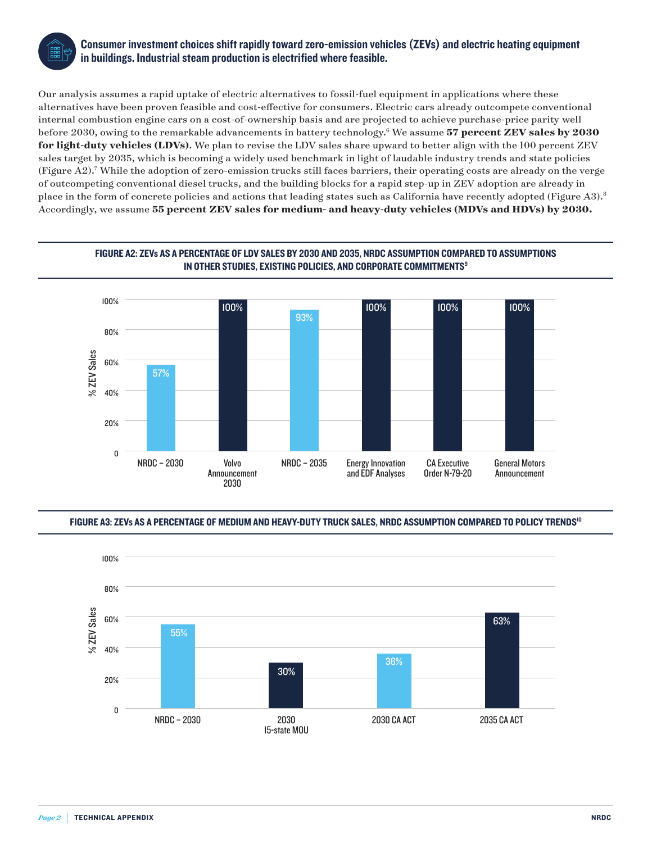<span id="page-1-0"></span>

### Consumer investment choices shift rapidly toward zero-emission vehicles (ZEVs) and electric heating equipment in buildings. Industrial steam production is electrified where feasible.

Our analysis assumes a rapid uptake of electric alternatives to fossil-fuel equipment in applications where these alternatives have been proven feasible and cost-effective for consumers. Electric cars already outcompete conventional internal combustion engine cars on a cost-of-ownership basis and are projected to achieve purchase-price parity well before 2030, owing to the remarkable advancements in battery technology.[6](#page-6-0) We assume **57 percent ZEV sales by 2030 for light-duty vehicles (LDVs)**. We plan to revise the LDV sales share upward to better align with the 100 percent ZEV sales target by 2035, which is becoming a widely used benchmark in light of laudable industry trends and state policies (Figure A2)[.7](#page-6-0) While the adoption of zero-emission trucks still faces barriers, their operating costs are already on the verge of outcompeting conventional diesel trucks, and the building blocks for a rapid step-up in ZEV adoption are already in place in the form of concrete policies and actions that leading states such as California have recently adopted (Figure A3).[8](#page-6-0) Accordingly, we assume **55 percent ZEV sales for medium- and heavy-duty vehicles (MDVs and HDVs) by 2030.**



### FIGURE A2: ZEVs AS A PERCENTAGE OF LDV SALES BY 2030 AND 2035, NRDC ASSUMPTION COMPARED TO ASSUMPTIONS NOTHER STUDIES, EXISTING POLICIES, AND CORPORATE COMMITMENTS<sup>9</sup><br>IN OTHER STUDIES, EXISTING POLICIES, AND CORPORATE COMMITMENTS<sup>9</sup>

#### FIGURE A3: ZEVs AS A PERCENTAGE OF MEDIUM AND HEAVY-DUTY TRUCK SALES, NRDC ASSUMPTION COMPARED TO POLICY TRENDS<sup>[10](#page-6-0)</sup> F MEDIUM AND HEAV FOUTT TRUGA SALES, NADG AS

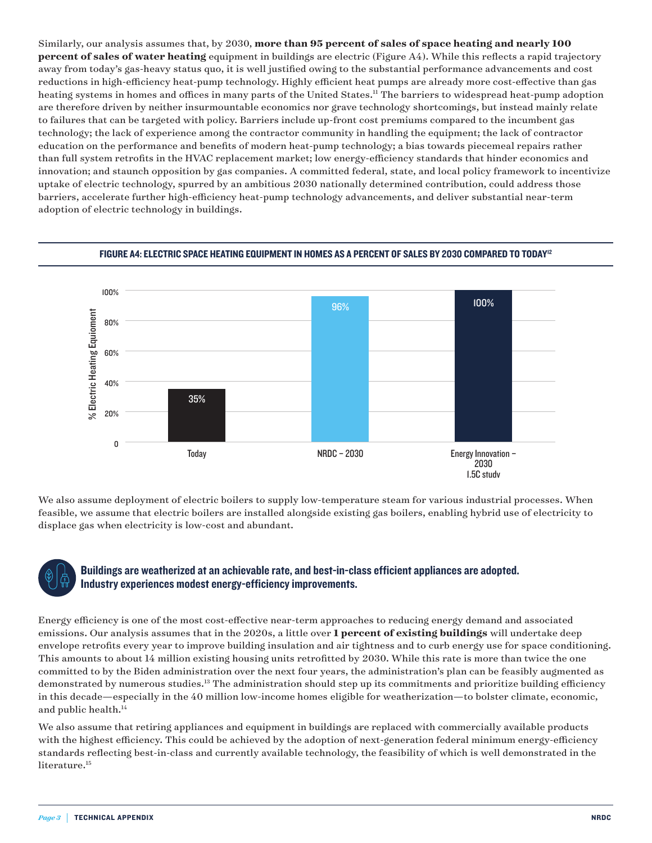<span id="page-2-0"></span>Similarly, our analysis assumes that, by 2030, **more than 95 percent of sales of space heating and nearly 100 percent of sales of water heating** equipment in buildings are electric (Figure A4). While this reflects a rapid trajectory away from today's gas-heavy status quo, it is well justified owing to the substantial performance advancements and cost reductions in high-efficiency heat-pump technology. Highly efficient heat pumps are already more cost-effective than gas heating systems in homes and offices in many parts of the United States.<sup>11</sup> The barriers to widespread heat-pump adoption are therefore driven by neither insurmountable economics nor grave technology shortcomings, but instead mainly relate to failures that can be targeted with policy. Barriers include up-front cost premiums compared to the incumbent gas technology; the lack of experience among the contractor community in handling the equipment; the lack of contractor education on the performance and benefits of modern heat-pump technology; a bias towards piecemeal repairs rather than full system retrofits in the HVAC replacement market; low energy-efficiency standards that hinder economics and innovation; and staunch opposition by gas companies. A committed federal, state, and local policy framework to incentivize uptake of electric technology, spurred by an ambitious 2030 nationally determined contribution, could address those barriers, accelerate further high-efficiency heat-pump technology advancements, and deliver substantial near-term adoption of electric technology in buildings.



### FIGURE A4: ELECTRIC SPACE HEATING EQUIPMENT IN HOMES AS A PERCENT OF SALES BY 2030 COMPARED TO TODAY<sup>12</sup>

We also assume deployment of electric boilers to supply low-temperature steam for various industrial processes. When feasible, we assume that electric boilers are installed alongside existing gas boilers, enabling hybrid use of electricity to displace gas when electricity is low-cost and abundant.

### Buildings are weatherized at an achievable rate, and best-in-class efficient appliances are adopted. Industry experiences modest energy-efficiency improvements.

Energy efficiency is one of the most cost-effective near-term approaches to reducing energy demand and associated emissions. Our analysis assumes that in the 2020s, a little over **1 percent of existing buildings** will undertake deep envelope retrofits every year to improve building insulation and air tightness and to curb energy use for space conditioning. This amounts to about 14 million existing housing units retrofitted by 2030. While this rate is more than twice the one committed to by the Biden administration over the next four years, the administration's plan can be feasibly augmented as demonstrated by numerous studies.<sup>[13](#page-6-0)</sup> The administration should step up its commitments and prioritize building efficiency in this decade—especially in the 40 million low-income homes eligible for weatherization—to bolster climate, economic, and public health.<sup>[14](#page-6-0)</sup>

We also assume that retiring appliances and equipment in buildings are replaced with commercially available products with the highest efficiency. This could be achieved by the adoption of next-generation federal minimum energy-efficiency standards reflecting best-in-class and currently available technology, the feasibility of which is well demonstrated in the literature.<sup>[15](#page-7-0)</sup>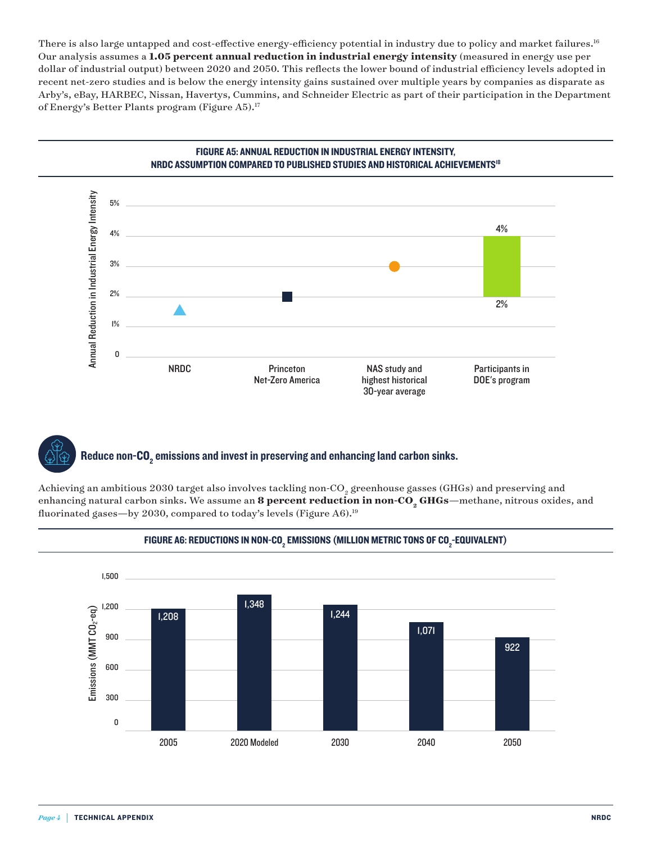<span id="page-3-0"></span>There is also large untapped and cost-effective energy-efficiency potential in industry due to policy and market failures.<sup>[16](#page-7-0)</sup> Our analysis assumes a **1.05 percent annual reduction in industrial energy intensity** (measured in energy use per dollar of industrial output) between 2020 and 2050. This reflects the lower bound of industrial efficiency levels adopted in recent net-zero studies and is below the energy intensity gains sustained over multiple years by companies as disparate as Arby's, eBay, HARBEC, Nissan, Havertys, Cummins, and Schneider Electric as part of their participation in the Department of Energy's Better Plants program (Figure A5).<sup>17</sup>



### FIGURE A5: ANNUAL REDUCTION IN INDUSTRIAL ENERGY INTENSITY, NRDC ASSUMPTION COMPARED TO PUBLISHED STUDIES AND HISTORICAL ACHIEVEMENTS[18](#page-7-0) ANNUAL REDUCTION IN INDUSTRIAL ENERGY INTENSITY,

### Reduce non-CO $_{\rm 2}$  emissions and invest in preserving and enhancing land carbon sinks.

Achieving an ambitious 2030 target also involves tackling non-CO<sub>2</sub> greenhouse gasses (GHGs) and preserving and enhancing natural carbon sinks. We assume an 8 percent reduction in non-CO<sub>2</sub> GHGs—methane, nitrous oxides, and fluorinated gases—by 2030, compared to today's levels (Figure A6).<sup>[19](#page-7-0)</sup>



### FIGURE A6: REDUCTIONS IN NON-CO $_{\tiny 2}$  emissions (million metric tons of CO $_{\tiny 2}$ -equivalent)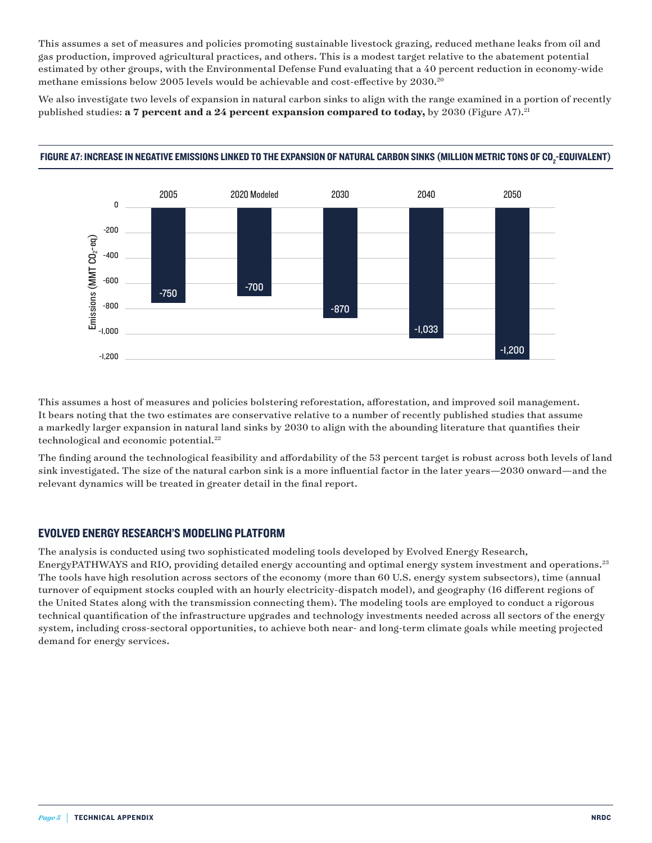<span id="page-4-0"></span>This assumes a set of measures and policies promoting sustainable livestock grazing, reduced methane leaks from oil and gas production, improved agricultural practices, and others. This is a modest target relative to the abatement potential estimated by other groups, with the Environmental Defense Fund evaluating that a 40 percent reduction in economy-wide methane emissions below 2005 levels would be achievable and cost-effective by 2030.<sup>20</sup>

We also investigate two levels of expansion in natural carbon sinks to align with the range examined in a portion of recently published studies: **a 7 percent and a 24 percent expansion compared to today,** by 2030 (Figure A7).<sup>21</sup>



## FIGURE A7: INCREASE IN NEGATIVE EMISSIONS LINKED TO THE EXPANSION OF NATURAL CARBON SINKS (MILLION METRIC TONS OF CO2 -EQUIVALENT) INCREASE IN NEGATIVE EMISSIONS LINKED TO THE EXPANSION OF NATURAL CARBON SINKS (MILLION METRIC TONS OF CO2-EQUIVALENT)

This assumes a host of measures and policies bolstering reforestation, afforestation, and improved soil management. It bears noting that the two estimates are conservative relative to a number of recently published studies that assume a markedly larger expansion in natural land sinks by 2030 to align with the abounding literature that quantifies their technological and economic potential.<sup>22</sup>

The finding around the technological feasibility and affordability of the 53 percent target is robust across both levels of land sink investigated. The size of the natural carbon sink is a more influential factor in the later years—2030 onward—and the relevant dynamics will be treated in greater detail in the final report.

### EVOLVED ENERGY RESEARCH'S MODELING PLATFORM

The analysis is conducted using two sophisticated modeling tools developed by Evolved Energy Research, EnergyPATHWAYS and RIO, providing detailed energy accounting and optimal energy system investment and operations.<sup>[23](#page-7-0)</sup> The tools have high resolution across sectors of the economy (more than 60 U.S. energy system subsectors), time (annual turnover of equipment stocks coupled with an hourly electricity-dispatch model), and geography (16 different regions of the United States along with the transmission connecting them). The modeling tools are employed to conduct a rigorous technical quantification of the infrastructure upgrades and technology investments needed across all sectors of the energy system, including cross-sectoral opportunities, to achieve both near- and long-term climate goals while meeting projected demand for energy services.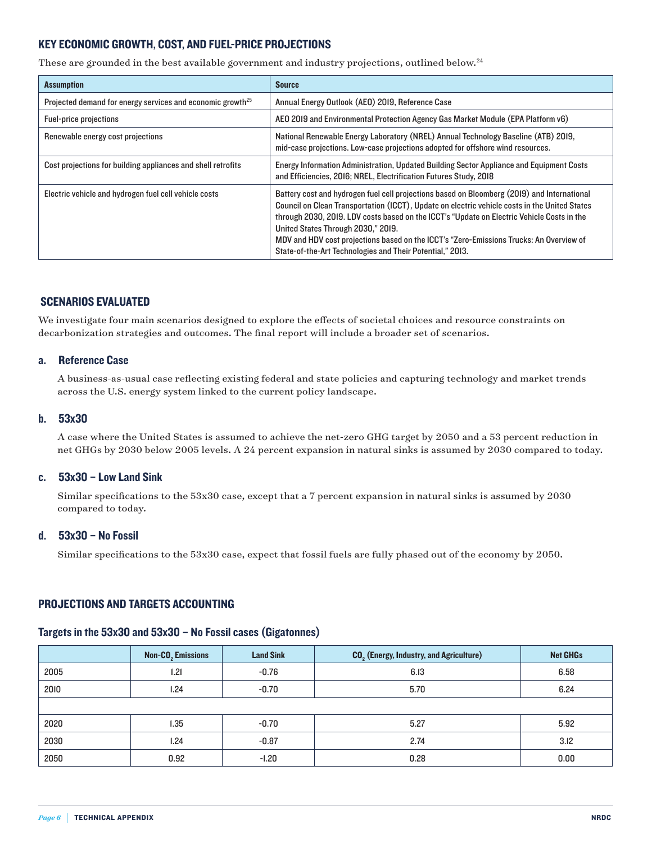### <span id="page-5-0"></span>KEY ECONOMIC GROWTH, COST, AND FUEL-PRICE PROJECTIONS

These are grounded in the best available government and industry projections, outlined below.<sup>[24](#page-7-0)</sup>

| <b>Assumption</b>                                                      | <b>Source</b>                                                                                                                                                                                                                                                                                                                                                                                                                                                                            |  |  |
|------------------------------------------------------------------------|------------------------------------------------------------------------------------------------------------------------------------------------------------------------------------------------------------------------------------------------------------------------------------------------------------------------------------------------------------------------------------------------------------------------------------------------------------------------------------------|--|--|
| Projected demand for energy services and economic growth <sup>25</sup> | Annual Energy Outlook (AEO) 2019, Reference Case                                                                                                                                                                                                                                                                                                                                                                                                                                         |  |  |
| <b>Fuel-price projections</b>                                          | AEO 2019 and Environmental Protection Agency Gas Market Module (EPA Platform v6)                                                                                                                                                                                                                                                                                                                                                                                                         |  |  |
| Renewable energy cost projections                                      | National Renewable Energy Laboratory (NREL) Annual Technology Baseline (ATB) 2019,<br>mid-case projections. Low-case projections adopted for offshore wind resources.                                                                                                                                                                                                                                                                                                                    |  |  |
| Cost projections for building appliances and shell retrofits           | Energy Information Administration, Updated Building Sector Appliance and Equipment Costs<br>and Efficiencies, 2016; NREL, Electrification Futures Study, 2018                                                                                                                                                                                                                                                                                                                            |  |  |
| Electric vehicle and hydrogen fuel cell vehicle costs                  | Battery cost and hydrogen fuel cell projections based on Bloomberg (2019) and International<br>Council on Clean Transportation (ICCT), Update on electric vehicle costs in the United States<br>through 2030, 2019. LDV costs based on the ICCT's "Update on Electric Vehicle Costs in the<br>United States Through 2030," 2019.<br>MDV and HDV cost projections based on the ICCT's "Zero-Emissions Trucks: An Overview of<br>State-of-the-Art Technologies and Their Potential," 2013. |  |  |

### SCENARIOS EVALUATED

We investigate four main scenarios designed to explore the effects of societal choices and resource constraints on decarbonization strategies and outcomes. The final report will include a broader set of scenarios.

### a. Reference Case

 A business-as-usual case reflecting existing federal and state policies and capturing technology and market trends across the U.S. energy system linked to the current policy landscape.

### b. 53x30

 A case where the United States is assumed to achieve the net-zero GHG target by 2050 and a 53 percent reduction in net GHGs by 2030 below 2005 levels. A 24 percent expansion in natural sinks is assumed by 2030 compared to today.

### c. 53x30 – Low Land Sink

 Similar specifications to the 53x30 case, except that a 7 percent expansion in natural sinks is assumed by 2030 compared to today.

### d. 53x30 – No Fossil

Similar specifications to the 53x30 case, expect that fossil fuels are fully phased out of the economy by 2050.

### PROJECTIONS AND TARGETS ACCOUNTING

### Targets in the 53x30 and 53x30 – No Fossil cases (Gigatonnes)

|      | <b>Non-CO<sub>2</sub></b> Emissions | <b>Land Sink</b> | <b>CO<sub>2</sub></b> (Energy, Industry, and Agriculture) | <b>Net GHGs</b> |
|------|-------------------------------------|------------------|-----------------------------------------------------------|-----------------|
| 2005 | 1.21                                | $-0.76$          | 6.13                                                      | 6.58            |
| 2010 | 1.24                                | $-0.70$          | 5.70                                                      | 6.24            |
|      |                                     |                  |                                                           |                 |
| 2020 | 1.35                                | $-0.70$          | 5.27                                                      | 5.92            |
| 2030 | 1.24                                | $-0.87$          | 2.74                                                      | 3.12            |
| 2050 | 0.92                                | $-1.20$          | 0.28                                                      | 0.00            |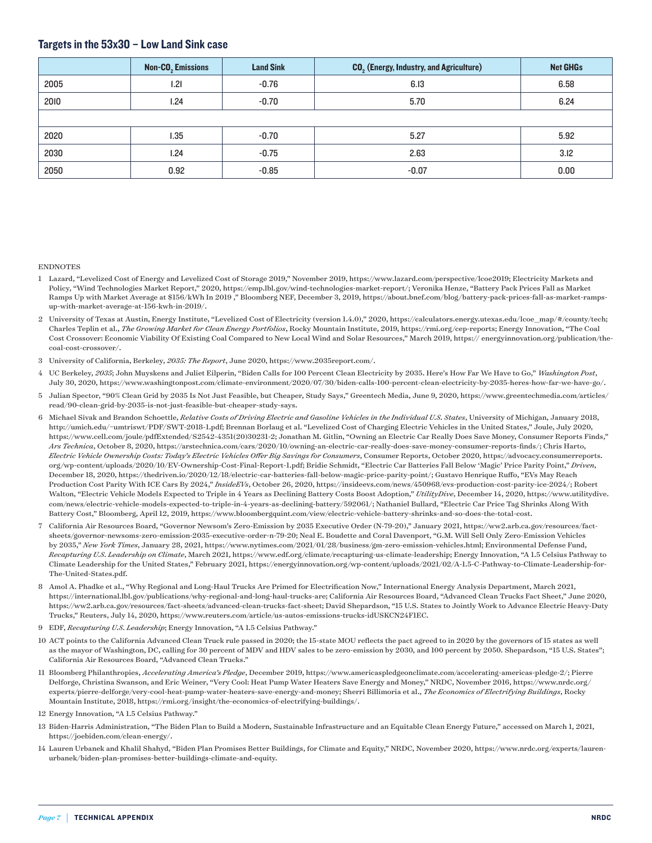### <span id="page-6-0"></span>Targets in the 53x30 – Low Land Sink case

|      | Non-CO <sub>2</sub> Emissions | <b>Land Sink</b> | CO <sub>2</sub> (Energy, Industry, and Agriculture) | <b>Net GHGs</b> |
|------|-------------------------------|------------------|-----------------------------------------------------|-----------------|
| 2005 | 1.21                          | $-0.76$          | 6.13                                                | 6.58            |
| 2010 | 1.24                          | $-0.70$          | 5.70                                                | 6.24            |
|      |                               |                  |                                                     |                 |
| 2020 | 1.35                          | $-0.70$          | 5.27                                                | 5.92            |
| 2030 | 1.24                          | $-0.75$          | 2.63                                                | 3.12            |
| 2050 | 0.92                          | $-0.85$          | $-0.07$                                             | 0.00            |

#### ENDNOTES

- [1](#page-0-0) Lazard, "Levelized Cost of Energy and Levelized Cost of Storage 2019," November 2019,<https://www.lazard.com/perspective/lcoe2019>; Electricity Markets and Policy, "Wind Technologies Market Report," 2020, [https://emp.lbl.gov/wind-technologies-market-report/;](https://emp.lbl.gov/wind-technologies-market-report/) Veronika Henze, "Battery Pack Prices Fall as Market Ramps Up with Market Average at \$156/kWh In 2019 ," Bloomberg NEF, December 3, 2019, [https://about.bnef.com/blog/battery-pack-prices-fall-as-market-ramps](https://about.bnef.com/blog/battery-pack-prices-fall-as-market-ramps-up-with-market-average-at-156-kwh-in-2019/)[up-with-market-average-at-156-kwh-in-2019/](https://about.bnef.com/blog/battery-pack-prices-fall-as-market-ramps-up-with-market-average-at-156-kwh-in-2019/).
- [2](#page-0-0) University of Texas at Austin, Energy Institute, "Levelized Cost of Electricity (version 1.4.0)," 2020, [https://calculators.energy.utexas.edu/lcoe\\_map/#/county/tech](https://calculators.energy.utexas.edu/lcoe_map/#/county/tech); Charles Teplin et al., *The Growing Market for Clean Energy Portfolios*, Rocky Mountain Institute, 2019, https://rmi.org/cep-reports; Energy Innovation, "The Coal Cost Crossover: Economic Viability Of Existing Coal Compared to New Local Wind and Solar Resources," March 2019, https:// energyinnovation.org/publication/thecoal-cost-crossover/.
- [3](#page-0-0) University of California, Berkeley, *2035: The Report*, June 2020, [https://www.2035report.com/.](https://www.2035report.com/)
- [4](#page-0-0) UC Berkeley, *2035*; John Muyskens and Juliet Eilperin, "Biden Calls for 100 Percent Clean Electricity by 2035. Here's How Far We Have to Go," *Washington Post*, July 30, 2020, <https://www.washingtonpost.com/climate-environment/2020/07/30/biden-calls-100-percent-clean-electricity-by-2035-heres-how-far-we-have-go/>.
- [5](#page-0-0) Julian Spector, "90% Clean Grid by 2035 Is Not Just Feasible, but Cheaper, Study Says," Greentech Media, June 9, 2020, [https://www.greentechmedia.com/articles/](https://www.greentechmedia.com/articles/read/90-clean-grid-by-2035-is-not-just-feasible-but-cheaper-study-says) [read/90-clean-grid-by-2035-is-not-just-feasible-but-cheaper-study-says](https://www.greentechmedia.com/articles/read/90-clean-grid-by-2035-is-not-just-feasible-but-cheaper-study-says).
- [6](#page-1-0) Michael Sivak and Brandon Schoettle, *Relative Costs of Driving Electric and Gasoline Vehicles in the Individual U.S. States*, University of Michigan, January 2018, [http://umich.edu/~umtriswt/PDF/SWT-2018-1.pdf;](http://umich.edu/~umtriswt/PDF/SWT-2018-1.pdf) Brennan Borlaug et al. "Levelized Cost of Charging Electric Vehicles in the United States," Joule, July 2020, [https://www.cell.com/joule/pdfExtended/S2542-4351\(20\)30231-2](https://www.cell.com/joule/pdfExtended/S2542-4351(20)30231-2); Jonathan M. Gitlin, "Owning an Electric Car Really Does Save Money, Consumer Reports Finds," *Ars Technica*, October 8, 2020, [https://arstechnica.com/cars/2020/10/owning-an-electric-car-really-does-save-money-consumer-reports-finds/;](https://arstechnica.com/cars/2020/10/owning-an-electric-car-really-does-save-money-consumer-reports-finds/) Chris Harto, *Electric Vehicle Ownership Costs: Today's Electric Vehicles Offer Big Savings for Consumers*, Consumer Reports, October 2020, [https://advocacy.consumerreports.](https://advocacy.consumerreports.org/wp-content/uploads/2020/10/EV-Ownership-Cost-Final-Report-1.pdf) [org/wp-content/uploads/2020/10/EV-Ownership-Cost-Final-Report-1.pdf](https://advocacy.consumerreports.org/wp-content/uploads/2020/10/EV-Ownership-Cost-Final-Report-1.pdf); Bridie Schmidt, "Electric Car Batteries Fall Below 'Magic' Price Parity Point," *Driven*, December 18, 2020,<https://thedriven.io/2020/12/18/electric-car-batteries-fall-below-magic-price-parity-point/>; Gustavo Henrique Ruffo, "EVs May Reach Production Cost Parity With ICE Cars By 2024," *InsideEVs*, October 26, 2020, [https://insideevs.com/news/450968/evs-production-cost-parity-ice-2024/;](https://insideevs.com/news/450968/evs-production-cost-parity-ice-2024/) Robert Walton, "Electric Vehicle Models Expected to Triple in 4 Years as Declining Battery Costs Boost Adoption," *UtilityDive*, December 14, 2020, [https://www.utilitydive.](https://www.utilitydive.com/news/electric-vehicle-models-expected-to-triple-in-4-years-as-declining-battery/592061/) [com/news/electric-vehicle-models-expected-to-triple-in-4-years-as-declining-battery/592061/;](https://www.utilitydive.com/news/electric-vehicle-models-expected-to-triple-in-4-years-as-declining-battery/592061/) Nathaniel Bullard, "Electric Car Price Tag Shrinks Along With Battery Cost," Bloomberg, April 12, 2019, <https://www.bloombergquint.com/view/electric-vehicle-battery-shrinks-and-so-does-the-total-cost>.
- [7](#page-1-0) California Air Resources Board, "Governor Newsom's Zero-Emission by 2035 Executive Order (N-79-20)," January 2021, [https://ww2.arb.ca.gov/resources/fact](https://ww2.arb.ca.gov/resources/fact-sheets/governor-newsoms-zero-emission-2035-executive-order-n-79-20)[sheets/governor-newsoms-zero-emission-2035-executive-order-n-79-20](https://ww2.arb.ca.gov/resources/fact-sheets/governor-newsoms-zero-emission-2035-executive-order-n-79-20); Neal E. Boudette and Coral Davenport, "G.M. Will Sell Only Zero-Emission Vehicles by 2035," *New York Times*, January 28, 2021,<https://www.nytimes.com/2021/01/28/business/gm-zero-emission-vehicles.html>; Environmental Defense Fund, *Recapturing U.S. Leadership on Climate*, March 2021, [https://www.edf.org/climate/recapturing-us-climate-leadership;](https://www.edf.org/climate/recapturing-us-climate-leadership) Energy Innovation, "A 1.5 Celsius Pathway to Climate Leadership for the United States," February 2021, [https://energyinnovation.org/wp-content/uploads/2021/02/A-1.5-C-Pathway-to-Climate-Leadership-for-](https://energyinnovation.org/wp-content/uploads/2021/02/A-1.5-C-Pathway-to-Climate-Leadership-for-The-United-States.pdf)[The-United-States.pdf.](https://energyinnovation.org/wp-content/uploads/2021/02/A-1.5-C-Pathway-to-Climate-Leadership-for-The-United-States.pdf)
- [8](#page-1-0) Amol A. Phadke et al., "Why Regional and Long-Haul Trucks Are Primed for Electrification Now," International Energy Analysis Department, March 2021, <https://international.lbl.gov/publications/why-regional-and-long-haul-trucks-are>; California Air Resources Board, "Advanced Clean Trucks Fact Sheet," June 2020, <https://ww2.arb.ca.gov/resources/fact-sheets/advanced-clean-trucks-fact-sheet>; David Shepardson, "15 U.S. States to Jointly Work to Advance Electric Heavy-Duty Trucks," Reuters, July 14, 2020, [https://www.reuters.com/article/us-autos-emissions-trucks-idUSKCN24F1EC.](https://www.reuters.com/article/us-autos-emissions-trucks-idUSKCN24F1EC)
- [9](#page-1-0) EDF, *Recapturing U.S. Leadership*; Energy Innovation, "A 1.5 Celsius Pathway."
- [10](#page-1-0) ACT points to the California Advanced Clean Truck rule passed in 2020; the 15-state MOU reflects the pact agreed to in 2020 by the governors of 15 states as well as the mayor of Washington, DC, calling for 30 percent of MDV and HDV sales to be zero-emission by 2030, and 100 percent by 2050. Shepardson, "15 U.S. States"; California Air Resources Board, "Advanced Clean Trucks."
- [11](#page-2-0) Bloomberg Philanthropies, *Accelerating America's Pledge*, December 2019,<https://www.americaspledgeonclimate.com/accelerating-americas-pledge-2/>; Pierre Delforge, Christina Swanson, and Eric Weiner, "Very Cool: Heat Pump Water Heaters Save Energy and Money," NRDC, November 2016, [https://www.nrdc.org/](https://www.nrdc.org/experts/pierre-delforge/very-cool-heat-pump-water-heaters-save-energy-and-money) [experts/pierre-delforge/very-cool-heat-pump-water-heaters-save-energy-and-money;](https://www.nrdc.org/experts/pierre-delforge/very-cool-heat-pump-water-heaters-save-energy-and-money) Sherri Billimoria et al., *The Economics of Electrifying Buildings*, Rocky Mountain Institute, 2018, [https://rmi.org/insight/the-economics-of-electrifying-buildings/.](https://rmi.org/insight/the-economics-of-electrifying-buildings/)
- [12](#page-2-0) Energy Innovation, "A 1.5 Celsius Pathway."
- [13](#page-2-0) Biden-Harris Administration, "The Biden Plan to Build a Modern, Sustainable Infrastructure and an Equitable Clean Energy Future," accessed on March 1, 2021, <https://joebiden.com/clean-energy/>.
- [14](#page-2-0) Lauren Urbanek and Khalil Shahyd, "Biden Plan Promises Better Buildings, for Climate and Equity," NRDC, November 2020, [https://www.nrdc.org/experts/lauren](https://www.nrdc.org/experts/lauren-urbanek/biden-plan-promises-better-buildings-climate-and-equity)[urbanek/biden-plan-promises-better-buildings-climate-and-equity.](https://www.nrdc.org/experts/lauren-urbanek/biden-plan-promises-better-buildings-climate-and-equity)